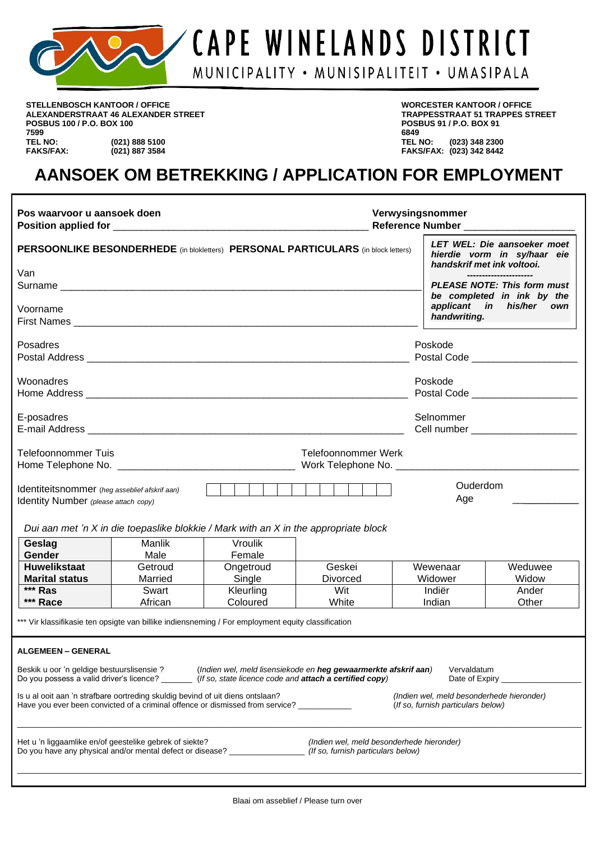

**STELLENBOSCH KANTOOR / OFFICE WORCESTER KANTOOR / OFFICE ALEXANDERSTRAAT 46 ALEXANDER STREET TRAPPESSTRAAT 51 TRAPPES STREET POSBUS 100 / P.O. BOX 100 POSE 91 / POSE 91 / POSE 91 / POSE 91 / POSE 91 / POSE 91 / POSE 91 / POSE 91 / POSE 91 / POSE 91 / POSE 91 / POSE 91 / POSE 91 / POSE 91 / POSE 91 / POSE 91 / POSE 91 / POSE 91 / POSE 91 / POS 7599 6849 TEL NO: (021) 888 5100 TEL NO: (023) 348 2300**

**FAKS/FAX: (021) 887 3584 FAKS/FAX: (023) 342 8442**

## **AANSOEK OM BETREKKING / APPLICATION FOR EMPLOYMENT**

| Pos waarvoor u aansoek doen                                                                                                                                               |                  |                                                                  |                                                                                                                            | Verwysingsnommer<br>Reference Number _____________                              |                                                                                          |  |  |  |
|---------------------------------------------------------------------------------------------------------------------------------------------------------------------------|------------------|------------------------------------------------------------------|----------------------------------------------------------------------------------------------------------------------------|---------------------------------------------------------------------------------|------------------------------------------------------------------------------------------|--|--|--|
|                                                                                                                                                                           |                  |                                                                  | PERSOONLIKE BESONDERHEDE (in blokletters) PERSONAL PARTICULARS (in block letters)                                          |                                                                                 | LET WEL: Die aansoeker moet<br>hierdie vorm in sy/haar eie<br>handskrif met ink voltooi. |  |  |  |
| Van                                                                                                                                                                       |                  |                                                                  |                                                                                                                            |                                                                                 | ----------------------                                                                   |  |  |  |
|                                                                                                                                                                           |                  | <b>PLEASE NOTE: This form must</b><br>be completed in ink by the |                                                                                                                            |                                                                                 |                                                                                          |  |  |  |
| Voorname                                                                                                                                                                  |                  |                                                                  |                                                                                                                            |                                                                                 | applicant in his/her own<br>handwriting.                                                 |  |  |  |
| Posadres                                                                                                                                                                  |                  |                                                                  |                                                                                                                            | Poskode                                                                         |                                                                                          |  |  |  |
|                                                                                                                                                                           |                  |                                                                  |                                                                                                                            |                                                                                 |                                                                                          |  |  |  |
| Woonadres                                                                                                                                                                 |                  |                                                                  |                                                                                                                            | Poskode                                                                         |                                                                                          |  |  |  |
|                                                                                                                                                                           |                  |                                                                  |                                                                                                                            |                                                                                 | Postal Code ______________________                                                       |  |  |  |
| E-posadres                                                                                                                                                                |                  |                                                                  |                                                                                                                            | Selnommer                                                                       |                                                                                          |  |  |  |
|                                                                                                                                                                           |                  |                                                                  |                                                                                                                            |                                                                                 |                                                                                          |  |  |  |
| <b>Telefoonnommer Tuis</b>                                                                                                                                                |                  |                                                                  | <b>Telefoonnommer Werk</b>                                                                                                 |                                                                                 |                                                                                          |  |  |  |
| Identiteitsnommer (heg asseblief afskrif aan)<br>Identity Number (please attach copy)                                                                                     |                  |                                                                  |                                                                                                                            | Age                                                                             | Ouderdom                                                                                 |  |  |  |
|                                                                                                                                                                           |                  |                                                                  | Dui aan met 'n X in die toepaslike blokkie / Mark with an X in the appropriate block                                       |                                                                                 |                                                                                          |  |  |  |
| Geslag                                                                                                                                                                    | Manlik           | Vroulik                                                          |                                                                                                                            |                                                                                 |                                                                                          |  |  |  |
| Gender                                                                                                                                                                    | Male             | Female                                                           |                                                                                                                            |                                                                                 |                                                                                          |  |  |  |
| <b>Huwelikstaat</b>                                                                                                                                                       | Getroud          | Ongetroud                                                        | Geskei                                                                                                                     | Wewenaar                                                                        | Weduwee                                                                                  |  |  |  |
| <b>Marital status</b><br>*** Ras                                                                                                                                          | Married<br>Swart | Single<br>Kleurling                                              | <b>Divorced</b><br>Wit                                                                                                     | Widower<br>Indiër                                                               | Widow<br>Ander                                                                           |  |  |  |
| *** Race                                                                                                                                                                  | African          | Coloured                                                         | White                                                                                                                      | Indian                                                                          | Other                                                                                    |  |  |  |
| *** Vir klassifikasie ten opsigte van billike indiensneming / For employment equity classification                                                                        |                  |                                                                  |                                                                                                                            |                                                                                 |                                                                                          |  |  |  |
| <b>ALGEMEEN - GENERAL</b>                                                                                                                                                 |                  |                                                                  |                                                                                                                            |                                                                                 |                                                                                          |  |  |  |
| Beskik u oor 'n geldige bestuurslisensie?<br>Do you possess a valid driver's licence? ______                                                                              |                  |                                                                  | (Indien wel, meld lisensiekode en heg gewaarmerkte afskrif aan)<br>(If so, state licence code and attach a certified copy) | Vervaldatum<br>Date of Expiry                                                   |                                                                                          |  |  |  |
| Is u al ooit aan 'n strafbare oortreding skuldig bevind of uit diens ontslaan?<br>Have you ever been convicted of a criminal offence or dismissed from service? _________ |                  |                                                                  |                                                                                                                            | (Indien wel, meld besonderhede hieronder)<br>(If so, furnish particulars below) |                                                                                          |  |  |  |
| Het u 'n liggaamlike en/of geestelike gebrek of siekte?<br>Do you have any physical and/or mental defect or disease? ______________________                               |                  |                                                                  | (Indien wel, meld besonderhede hieronder)<br>(If so, furnish particulars below)                                            |                                                                                 |                                                                                          |  |  |  |
|                                                                                                                                                                           |                  |                                                                  |                                                                                                                            |                                                                                 |                                                                                          |  |  |  |